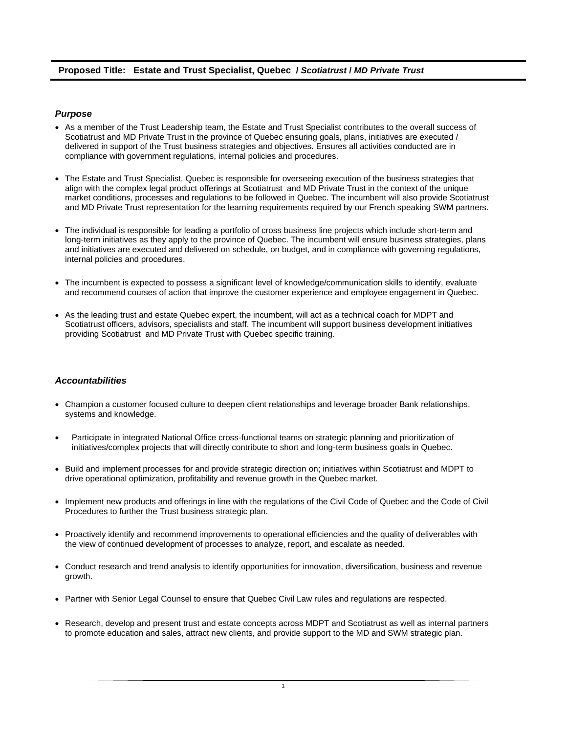## **Proposed Title: Estate and Trust Specialist, Quebec /** *Scotiatrust* **/** *MD Private Trust*

### *Purpose*

- As a member of the Trust Leadership team, the Estate and Trust Specialist contributes to the overall success of Scotiatrust and MD Private Trust in the province of Quebec ensuring goals, plans, initiatives are executed / delivered in support of the Trust business strategies and objectives. Ensures all activities conducted are in compliance with government regulations, internal policies and procedures.
- The Estate and Trust Specialist, Quebec is responsible for overseeing execution of the business strategies that align with the complex legal product offerings at Scotiatrust and MD Private Trust in the context of the unique market conditions, processes and regulations to be followed in Quebec. The incumbent will also provide Scotiatrust and MD Private Trust representation for the learning requirements required by our French speaking SWM partners.
- The individual is responsible for leading a portfolio of cross business line projects which include short-term and long-term initiatives as they apply to the province of Quebec. The incumbent will ensure business strategies, plans and initiatives are executed and delivered on schedule, on budget, and in compliance with governing regulations, internal policies and procedures.
- The incumbent is expected to possess a significant level of knowledge/communication skills to identify, evaluate and recommend courses of action that improve the customer experience and employee engagement in Quebec.
- As the leading trust and estate Quebec expert, the incumbent, will act as a technical coach for MDPT and Scotiatrust officers, advisors, specialists and staff. The incumbent will support business development initiatives providing Scotiatrust and MD Private Trust with Quebec specific training.

#### *Accountabilities*

- Champion a customer focused culture to deepen client relationships and leverage broader Bank relationships, systems and knowledge.
- Participate in integrated National Office cross-functional teams on strategic planning and prioritization of initiatives/complex projects that will directly contribute to short and long-term business goals in Quebec.
- Build and implement processes for and provide strategic direction on; initiatives within Scotiatrust and MDPT to drive operational optimization, profitability and revenue growth in the Quebec market.
- Implement new products and offerings in line with the regulations of the Civil Code of Quebec and the Code of Civil Procedures to further the Trust business strategic plan.
- Proactively identify and recommend improvements to operational efficiencies and the quality of deliverables with the view of continued development of processes to analyze, report, and escalate as needed.
- Conduct research and trend analysis to identify opportunities for innovation, diversification, business and revenue growth.
- Partner with Senior Legal Counsel to ensure that Quebec Civil Law rules and regulations are respected.
- Research, develop and present trust and estate concepts across MDPT and Scotiatrust as well as internal partners to promote education and sales, attract new clients, and provide support to the MD and SWM strategic plan.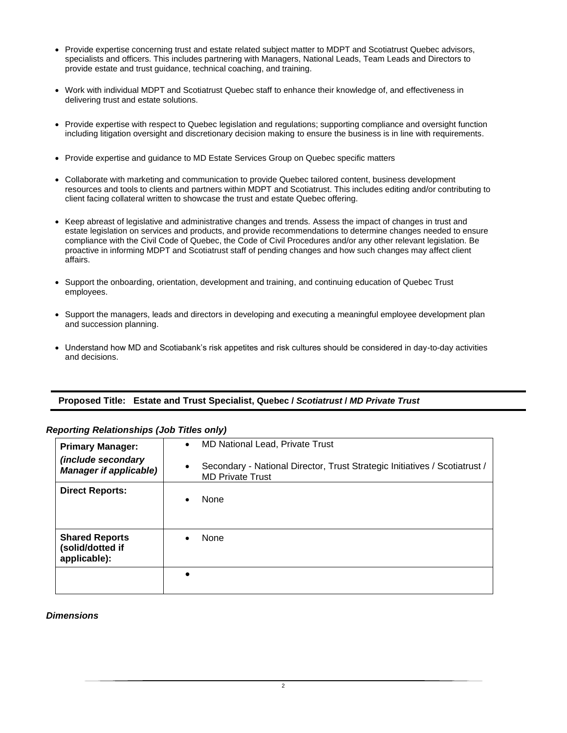- Provide expertise concerning trust and estate related subject matter to MDPT and Scotiatrust Quebec advisors, specialists and officers. This includes partnering with Managers, National Leads, Team Leads and Directors to provide estate and trust guidance, technical coaching, and training.
- Work with individual MDPT and Scotiatrust Quebec staff to enhance their knowledge of, and effectiveness in delivering trust and estate solutions.
- Provide expertise with respect to Quebec legislation and regulations; supporting compliance and oversight function including litigation oversight and discretionary decision making to ensure the business is in line with requirements.
- Provide expertise and guidance to MD Estate Services Group on Quebec specific matters
- Collaborate with marketing and communication to provide Quebec tailored content, business development resources and tools to clients and partners within MDPT and Scotiatrust. This includes editing and/or contributing to client facing collateral written to showcase the trust and estate Quebec offering.
- Keep abreast of legislative and administrative changes and trends. Assess the impact of changes in trust and estate legislation on services and products, and provide recommendations to determine changes needed to ensure compliance with the Civil Code of Quebec, the Code of Civil Procedures and/or any other relevant legislation. Be proactive in informing MDPT and Scotiatrust staff of pending changes and how such changes may affect client affairs.
- Support the onboarding, orientation, development and training, and continuing education of Quebec Trust employees.
- Support the managers, leads and directors in developing and executing a meaningful employee development plan and succession planning.
- Understand how MD and Scotiabank's risk appetites and risk cultures should be considered in day-to-day activities and decisions.

### **Proposed Title: Estate and Trust Specialist, Quebec /** *Scotiatrust* **/** *MD Private Trust*

| <b>Primary Manager:</b>                                     | $\bullet$ | MD National Lead, Private Trust                                                                       |
|-------------------------------------------------------------|-----------|-------------------------------------------------------------------------------------------------------|
| <i>(include secondary)</i><br><b>Manager if applicable)</b> | $\bullet$ | Secondary - National Director, Trust Strategic Initiatives / Scotiatrust /<br><b>MD Private Trust</b> |
| <b>Direct Reports:</b>                                      |           | None                                                                                                  |
| <b>Shared Reports</b><br>(solid/dotted if<br>applicable):   |           | None                                                                                                  |
|                                                             |           |                                                                                                       |

## *Reporting Relationships (Job Titles only)*

#### *Dimensions*